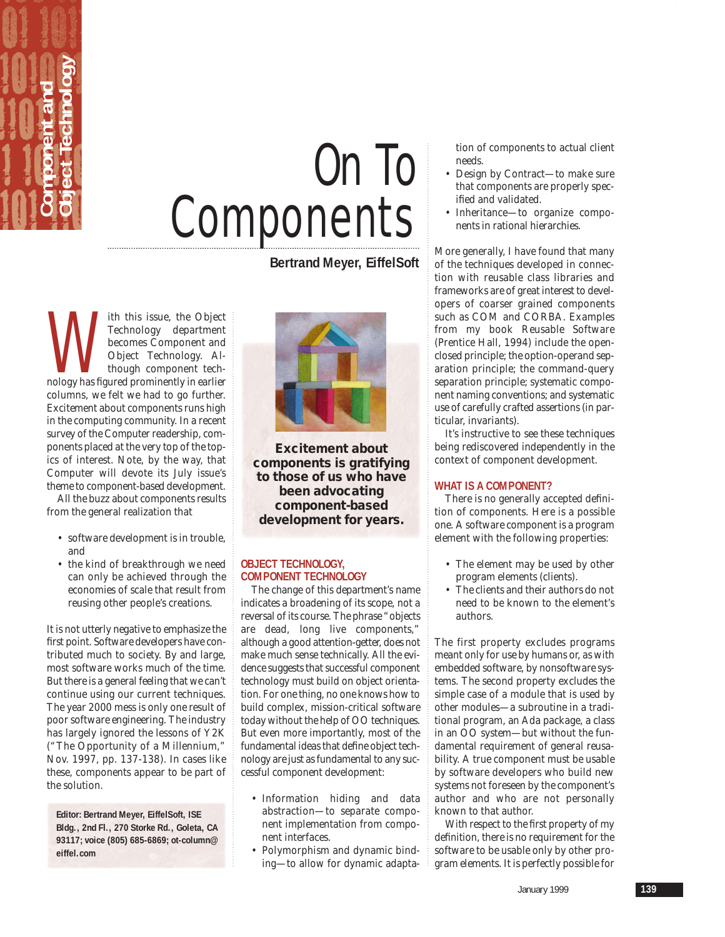

# On To **Components**

**Bertrand Meyer, EiffelSoft**

Technology department<br>
becomes Component and<br>
Object Technology. Al-<br>
though component technology has figured prominently in earlier Technology department becomes Component and Object Technology. Although component techcolumns, we felt we had to go further. Excitement about components runs high in the computing community. In a recent survey of the *Computer*readership, components placed at the very top of the topics of interest. Note, by the way, that *Computer* will devote its July issue's theme to component-based development.

All the buzz about components results from the general realization that

- software development is in trouble, and
- the kind of breakthrough we need can only be achieved through the economies of scale that result from reusing other people's creations.

It is not utterly negative to emphasize the first point. Software developers have contributed much to society. By and large, most software works much of the time. But there is a general feeling that we can't continue using our current techniques. The year 2000 mess is only one result of poor software engineering. The industry has largely ignored the lessons of Y2K ("The Opportunity of a Millennium," Nov. 1997, pp. 137-138). In cases like these, components appear to be part of the solution.

**Editor: Bertrand Meyer, EiffelSoft, ISE Bldg., 2nd Fl., 270 Storke Rd., Goleta, CA 93117; voice (805) 685-6869; ot-column@ eiffel.com**



**Excitement about components is gratifying to those of us who have been advocating component-based development for years.**

### **OBJECT TECHNOLOGY, COMPONENT TECHNOLOGY**

The change of this department's name indicates a broadening of its scope, not a reversal of its course. The phrase "objects are dead, long live components," although a good attention-getter, does not make much sense technically. All the evidence suggests that successful component technology must build on object orientation. For one thing, no one knows how to build complex, mission-critical software today without the help of OO techniques. But even more importantly, most of the fundamental ideas that define object technology are just as fundamental to any successful component development:

- Information hiding and data abstraction—to separate component implementation from component interfaces.
- Polymorphism and dynamic binding—to allow for dynamic adapta-

tion of components to actual client needs.

- Design by Contract—to make sure that components are properly specified and validated.
- Inheritance—to organize components in rational hierarchies.

More generally, I have found that many of the techniques developed in connection with reusable class libraries and frameworks are of great interest to developers of coarser grained components such as COM and CORBA. Examples from my book *Reusable Software* (Prentice Hall, 1994) include the openclosed principle; the option-operand separation principle; the command-query separation principle; systematic component naming conventions; and systematic use of carefully crafted assertions (in particular, invariants).

It's instructive to see these techniques being rediscovered independently in the context of component development.

## **WHAT IS A COMPONENT?**

There is no generally accepted definition of components. Here is a possible one. A software component is a program element with the following properties:

- The element may be used by other program elements (*clients*).
- The clients and their authors do not need to be known to the element's authors.

The first property excludes programs meant only for use by humans or, as with embedded software, by nonsoftware systems. The second property excludes the simple case of a module that is used by other modules—a subroutine in a traditional program, an Ada package, a class in an OO system—but without the fundamental requirement of general reusability. A true component must be usable by software developers who build new systems not foreseen by the component's author and who are not personally known to that author.

With respect to the first property of my definition, there is no requirement for the software to be usable *only* by other program elements. It is perfectly possible for